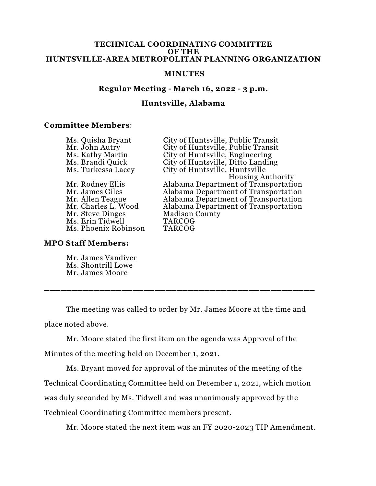#### **TECHNICAL COORDINATING COMMITTEE OF THE HUNTSVILLE-AREA METROPOLITAN PLANNING ORGANIZATION**

#### **MINUTES**

# **Regular Meeting - March 16, 2022 - 3 p.m.**

# **Huntsville, Alabama**

### **Committee Members**:

| Ms. Quisha Bryant    | City of Huntsville, Public Transit   |
|----------------------|--------------------------------------|
| Mr. John Autry       | City of Huntsville, Public Transit   |
| Ms. Kathy Martin     | City of Huntsville, Engineering      |
| Ms. Brandi Quick     | City of Huntsville, Ditto Landing    |
| Ms. Turkessa Lacey   | City of Huntsville, Huntsville       |
|                      | <b>Housing Authority</b>             |
| Mr. Rodney Ellis     | Alabama Department of Transportation |
| Mr. James Giles      | Alabama Department of Transportation |
| Mr. Allen Teague     | Alabama Department of Transportation |
| Mr. Charles L. Wood  | Alabama Department of Transportation |
| Mr. Steve Dinges     | <b>Madison County</b>                |
| Ms. Erin Tidwell     | <b>TARCOG</b>                        |
| Ms. Phoenix Robinson | <b>TARCOG</b>                        |
|                      |                                      |

# **MPO Staff Members:**

Mr. James Vandiver Ms. Shontrill Lowe Mr. James Moore

The meeting was called to order by Mr. James Moore at the time and place noted above.

**\_\_\_\_\_\_\_\_\_\_\_\_\_\_\_\_\_\_\_\_\_\_\_\_\_\_\_\_\_\_\_\_\_\_\_\_\_\_\_\_\_\_\_\_\_\_\_\_\_**

Mr. Moore stated the first item on the agenda was Approval of the Minutes of the meeting held on December 1, 2021.

Ms. Bryant moved for approval of the minutes of the meeting of the Technical Coordinating Committee held on December 1, 2021, which motion was duly seconded by Ms. Tidwell and was unanimously approved by the Technical Coordinating Committee members present.

Mr. Moore stated the next item was an FY 2020-2023 TIP Amendment.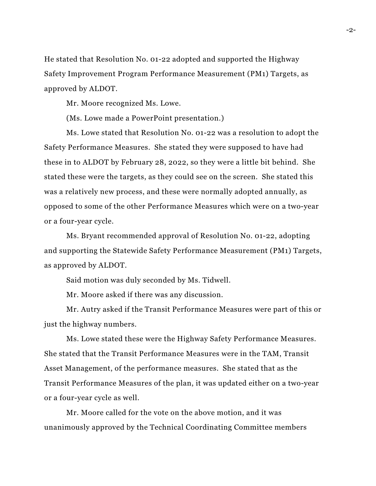He stated that Resolution No. 01-22 adopted and supported the Highway Safety Improvement Program Performance Measurement (PM1) Targets, as approved by ALDOT.

Mr. Moore recognized Ms. Lowe.

(Ms. Lowe made a PowerPoint presentation.)

Ms. Lowe stated that Resolution No. 01-22 was a resolution to adopt the Safety Performance Measures. She stated they were supposed to have had these in to ALDOT by February 28, 2022, so they were a little bit behind. She stated these were the targets, as they could see on the screen. She stated this was a relatively new process, and these were normally adopted annually, as opposed to some of the other Performance Measures which were on a two-year or a four-year cycle.

Ms. Bryant recommended approval of Resolution No. 01-22, adopting and supporting the Statewide Safety Performance Measurement (PM1) Targets, as approved by ALDOT.

Said motion was duly seconded by Ms. Tidwell.

Mr. Moore asked if there was any discussion.

Mr. Autry asked if the Transit Performance Measures were part of this or just the highway numbers.

Ms. Lowe stated these were the Highway Safety Performance Measures. She stated that the Transit Performance Measures were in the TAM, Transit Asset Management, of the performance measures. She stated that as the Transit Performance Measures of the plan, it was updated either on a two-year or a four-year cycle as well.

Mr. Moore called for the vote on the above motion, and it was unanimously approved by the Technical Coordinating Committee members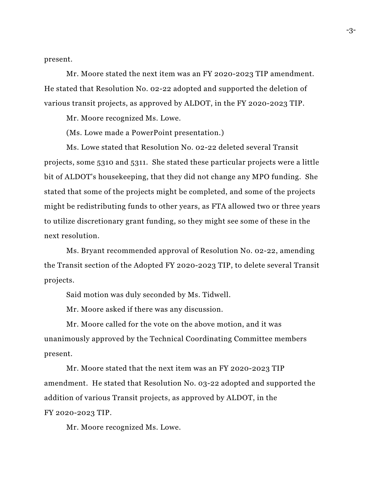present.

Mr. Moore stated the next item was an FY 2020-2023 TIP amendment. He stated that Resolution No. 02-22 adopted and supported the deletion of various transit projects, as approved by ALDOT, in the FY 2020-2023 TIP.

Mr. Moore recognized Ms. Lowe.

(Ms. Lowe made a PowerPoint presentation.)

Ms. Lowe stated that Resolution No. 02-22 deleted several Transit projects, some 5310 and 5311. She stated these particular projects were a little bit of ALDOT's housekeeping, that they did not change any MPO funding. She stated that some of the projects might be completed, and some of the projects might be redistributing funds to other years, as FTA allowed two or three years to utilize discretionary grant funding, so they might see some of these in the next resolution.

Ms. Bryant recommended approval of Resolution No. 02-22, amending the Transit section of the Adopted FY 2020-2023 TIP, to delete several Transit projects.

Said motion was duly seconded by Ms. Tidwell.

Mr. Moore asked if there was any discussion.

Mr. Moore called for the vote on the above motion, and it was unanimously approved by the Technical Coordinating Committee members present.

Mr. Moore stated that the next item was an FY 2020-2023 TIP amendment. He stated that Resolution No. 03-22 adopted and supported the addition of various Transit projects, as approved by ALDOT, in the FY 2020-2023 TIP.

Mr. Moore recognized Ms. Lowe.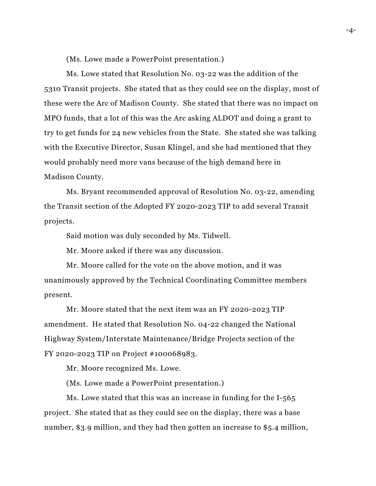(Ms. Lowe made a PowerPoint presentation.)

Ms. Lowe stated that Resolution No. 03-22 was the addition of the 5310 Transit projects. She stated that as they could see on the display, most of these were the Arc of Madison County. She stated that there was no impact on MPO funds, that a lot of this was the Arc asking ALDOT and doing a grant to try to get funds for 24 new vehicles from the State. She stated she was talking with the Executive Director, Susan Klingel, and she had mentioned that they would probably need more vans because of the high demand here in Madison County.

Ms. Bryant recommended approval of Resolution No. 03-22, amending the Transit section of the Adopted FY 2020-2023 TIP to add several Transit projects.

Said motion was duly seconded by Ms. Tidwell.

Mr. Moore asked if there was any discussion.

Mr. Moore called for the vote on the above motion, and it was unanimously approved by the Technical Coordinating Committee members present.

Mr. Moore stated that the next item was an FY 2020-2023 TIP amendment. He stated that Resolution No. 04-22 changed the National Highway System/Interstate Maintenance/Bridge Projects section of the FY 2020-2023 TIP on Project #100068983.

Mr. Moore recognized Ms. Lowe.

(Ms. Lowe made a PowerPoint presentation.)

Ms. Lowe stated that this was an increase in funding for the I-565 project. She stated that as they could see on the display, there was a base number, \$3.9 million, and they had then gotten an increase to \$5.4 million,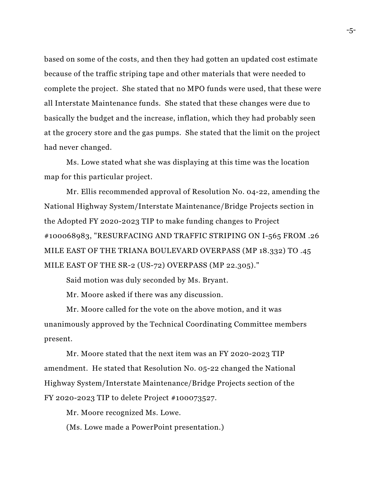based on some of the costs, and then they had gotten an updated cost estimate because of the traffic striping tape and other materials that were needed to complete the project. She stated that no MPO funds were used, that these were all Interstate Maintenance funds. She stated that these changes were due to basically the budget and the increase, inflation, which they had probably seen at the grocery store and the gas pumps. She stated that the limit on the project had never changed.

Ms. Lowe stated what she was displaying at this time was the location map for this particular project.

Mr. Ellis recommended approval of Resolution No. 04-22, amending the National Highway System/Interstate Maintenance/Bridge Projects section in the Adopted FY 2020-2023 TIP to make funding changes to Project #100068983, "RESURFACING AND TRAFFIC STRIPING ON I-565 FROM .26 MILE EAST OF THE TRIANA BOULEVARD OVERPASS (MP 18.332) TO .45 MILE EAST OF THE SR-2 (US-72) OVERPASS (MP 22.305)."

Said motion was duly seconded by Ms. Bryant.

Mr. Moore asked if there was any discussion.

Mr. Moore called for the vote on the above motion, and it was unanimously approved by the Technical Coordinating Committee members present.

Mr. Moore stated that the next item was an FY 2020-2023 TIP amendment. He stated that Resolution No. 05-22 changed the National Highway System/Interstate Maintenance/Bridge Projects section of the FY 2020-2023 TIP to delete Project #100073527.

Mr. Moore recognized Ms. Lowe.

(Ms. Lowe made a PowerPoint presentation.)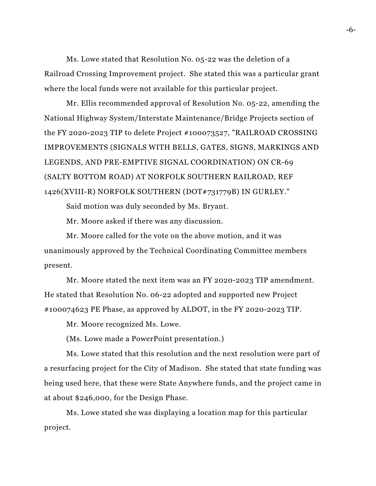Ms. Lowe stated that Resolution No. 05-22 was the deletion of a Railroad Crossing Improvement project. She stated this was a particular grant where the local funds were not available for this particular project.

Mr. Ellis recommended approval of Resolution No. 05-22, amending the National Highway System/Interstate Maintenance/Bridge Projects section of the FY 2020-2023 TIP to delete Project #100073527, "RAILROAD CROSSING IMPROVEMENTS (SIGNALS WITH BELLS, GATES, SIGNS, MARKINGS AND LEGENDS, AND PRE-EMPTIVE SIGNAL COORDINATION) ON CR-69 (SALTY BOTTOM ROAD) AT NORFOLK SOUTHERN RAILROAD, REF 1426(XVIII-R) NORFOLK SOUTHERN (DOT#731779B) IN GURLEY."

Said motion was duly seconded by Ms. Bryant.

Mr. Moore asked if there was any discussion.

Mr. Moore called for the vote on the above motion, and it was unanimously approved by the Technical Coordinating Committee members present.

Mr. Moore stated the next item was an FY 2020-2023 TIP amendment. He stated that Resolution No. 06-22 adopted and supported new Project #100074623 PE Phase, as approved by ALDOT, in the FY 2020-2023 TIP.

Mr. Moore recognized Ms. Lowe.

(Ms. Lowe made a PowerPoint presentation.)

Ms. Lowe stated that this resolution and the next resolution were part of a resurfacing project for the City of Madison. She stated that state funding was being used here, that these were State Anywhere funds, and the project came in at about \$246,000, for the Design Phase.

Ms. Lowe stated she was displaying a location map for this particular project.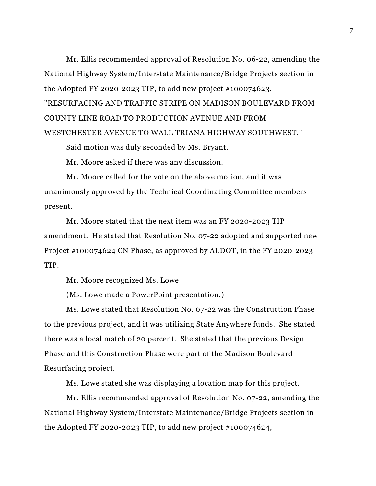Mr. Ellis recommended approval of Resolution No. 06-22, amending the National Highway System/Interstate Maintenance/Bridge Projects section in the Adopted FY 2020-2023 TIP, to add new project  $#100074623$ , "RESURFACING AND TRAFFIC STRIPE ON MADISON BOULEVARD FROM COUNTY LINE ROAD TO PRODUCTION AVENUE AND FROM WESTCHESTER AVENUE TO WALL TRIANA HIGHWAY SOUTHWEST."

Said motion was duly seconded by Ms. Bryant.

Mr. Moore asked if there was any discussion.

Mr. Moore called for the vote on the above motion, and it was unanimously approved by the Technical Coordinating Committee members present.

Mr. Moore stated that the next item was an FY 2020-2023 TIP amendment. He stated that Resolution No. 07-22 adopted and supported new Project #100074624 CN Phase, as approved by ALDOT, in the FY 2020-2023 TIP.

Mr. Moore recognized Ms. Lowe

(Ms. Lowe made a PowerPoint presentation.)

Ms. Lowe stated that Resolution No. 07-22 was the Construction Phase to the previous project, and it was utilizing State Anywhere funds. She stated there was a local match of 20 percent. She stated that the previous Design Phase and this Construction Phase were part of the Madison Boulevard Resurfacing project.

Ms. Lowe stated she was displaying a location map for this project.

Mr. Ellis recommended approval of Resolution No. 07-22, amending the National Highway System/Interstate Maintenance/Bridge Projects section in the Adopted FY 2020-2023 TIP, to add new project #100074624,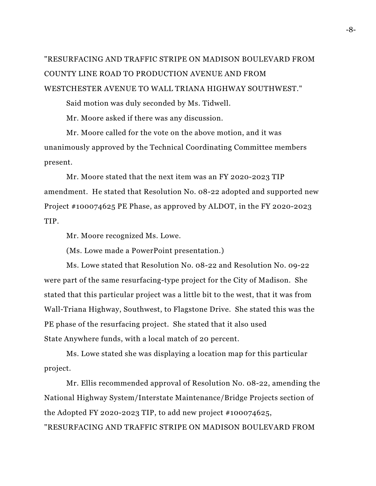# "RESURFACING AND TRAFFIC STRIPE ON MADISON BOULEVARD FROM COUNTY LINE ROAD TO PRODUCTION AVENUE AND FROM WESTCHESTER AVENUE TO WALL TRIANA HIGHWAY SOUTHWEST."

Said motion was duly seconded by Ms. Tidwell.

Mr. Moore asked if there was any discussion.

Mr. Moore called for the vote on the above motion, and it was unanimously approved by the Technical Coordinating Committee members present.

Mr. Moore stated that the next item was an FY 2020-2023 TIP amendment. He stated that Resolution No. 08-22 adopted and supported new Project #100074625 PE Phase, as approved by ALDOT, in the FY 2020-2023 TIP.

Mr. Moore recognized Ms. Lowe.

(Ms. Lowe made a PowerPoint presentation.)

Ms. Lowe stated that Resolution No. 08-22 and Resolution No. 09-22 were part of the same resurfacing-type project for the City of Madison. She stated that this particular project was a little bit to the west, that it was from Wall-Triana Highway, Southwest, to Flagstone Drive. She stated this was the PE phase of the resurfacing project. She stated that it also used State Anywhere funds, with a local match of 20 percent.

Ms. Lowe stated she was displaying a location map for this particular project.

Mr. Ellis recommended approval of Resolution No. 08-22, amending the National Highway System/Interstate Maintenance/Bridge Projects section of the Adopted FY 2020-2023 TIP, to add new project  $#100074625$ , "RESURFACING AND TRAFFIC STRIPE ON MADISON BOULEVARD FROM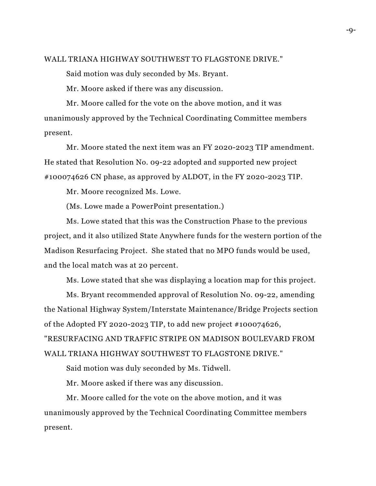#### WALL TRIANA HIGHWAY SOUTHWEST TO FLAGSTONE DRIVE."

Said motion was duly seconded by Ms. Bryant.

Mr. Moore asked if there was any discussion.

Mr. Moore called for the vote on the above motion, and it was unanimously approved by the Technical Coordinating Committee members present.

Mr. Moore stated the next item was an FY 2020-2023 TIP amendment. He stated that Resolution No. 09-22 adopted and supported new project #100074626 CN phase, as approved by ALDOT, in the FY 2020-2023 TIP.

Mr. Moore recognized Ms. Lowe.

(Ms. Lowe made a PowerPoint presentation.)

Ms. Lowe stated that this was the Construction Phase to the previous project, and it also utilized State Anywhere funds for the western portion of the Madison Resurfacing Project. She stated that no MPO funds would be used, and the local match was at 20 percent.

Ms. Lowe stated that she was displaying a location map for this project.

Ms. Bryant recommended approval of Resolution No. 09-22, amending the National Highway System/Interstate Maintenance/Bridge Projects section of the Adopted FY 2020-2023 TIP, to add new project #100074626, "RESURFACING AND TRAFFIC STRIPE ON MADISON BOULEVARD FROM WALL TRIANA HIGHWAY SOUTHWEST TO FLAGSTONE DRIVE."

Said motion was duly seconded by Ms. Tidwell.

Mr. Moore asked if there was any discussion.

Mr. Moore called for the vote on the above motion, and it was unanimously approved by the Technical Coordinating Committee members present.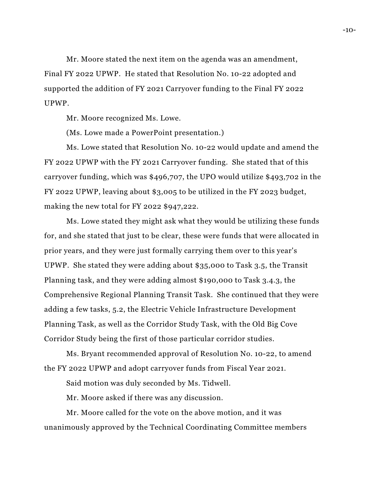Mr. Moore stated the next item on the agenda was an amendment, Final FY 2022 UPWP. He stated that Resolution No. 10-22 adopted and supported the addition of FY 2021 Carryover funding to the Final FY 2022 UPWP.

Mr. Moore recognized Ms. Lowe.

(Ms. Lowe made a PowerPoint presentation.)

Ms. Lowe stated that Resolution No. 10-22 would update and amend the FY 2022 UPWP with the FY 2021 Carryover funding. She stated that of this carryover funding, which was \$496,707, the UPO would utilize \$493,702 in the FY 2022 UPWP, leaving about \$3,005 to be utilized in the FY 2023 budget, making the new total for FY 2022 \$947,222.

Ms. Lowe stated they might ask what they would be utilizing these funds for, and she stated that just to be clear, these were funds that were allocated in prior years, and they were just formally carrying them over to this year's UPWP. She stated they were adding about \$35,000 to Task 3.5, the Transit Planning task, and they were adding almost \$190,000 to Task 3.4.3, the Comprehensive Regional Planning Transit Task. She continued that they were adding a few tasks, 5.2, the Electric Vehicle Infrastructure Development Planning Task, as well as the Corridor Study Task, with the Old Big Cove Corridor Study being the first of those particular corridor studies.

Ms. Bryant recommended approval of Resolution No. 10-22, to amend the FY 2022 UPWP and adopt carryover funds from Fiscal Year 2021.

Said motion was duly seconded by Ms. Tidwell.

Mr. Moore asked if there was any discussion.

Mr. Moore called for the vote on the above motion, and it was unanimously approved by the Technical Coordinating Committee members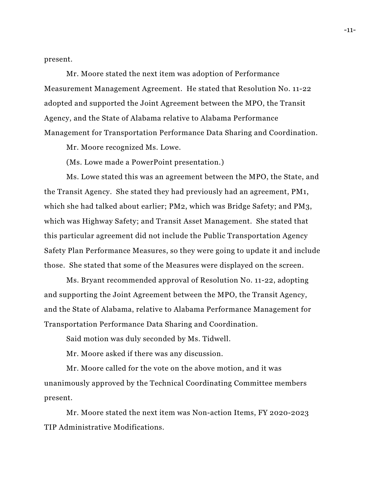present.

Mr. Moore stated the next item was adoption of Performance Measurement Management Agreement. He stated that Resolution No. 11-22 adopted and supported the Joint Agreement between the MPO, the Transit Agency, and the State of Alabama relative to Alabama Performance Management for Transportation Performance Data Sharing and Coordination.

Mr. Moore recognized Ms. Lowe.

(Ms. Lowe made a PowerPoint presentation.)

Ms. Lowe stated this was an agreement between the MPO, the State, and the Transit Agency. She stated they had previously had an agreement, PM1, which she had talked about earlier; PM2, which was Bridge Safety; and PM3, which was Highway Safety; and Transit Asset Management. She stated that this particular agreement did not include the Public Transportation Agency Safety Plan Performance Measures, so they were going to update it and include those. She stated that some of the Measures were displayed on the screen.

Ms. Bryant recommended approval of Resolution No. 11-22, adopting and supporting the Joint Agreement between the MPO, the Transit Agency, and the State of Alabama, relative to Alabama Performance Management for Transportation Performance Data Sharing and Coordination.

Said motion was duly seconded by Ms. Tidwell.

Mr. Moore asked if there was any discussion.

Mr. Moore called for the vote on the above motion, and it was unanimously approved by the Technical Coordinating Committee members present.

Mr. Moore stated the next item was Non-action Items, FY 2020-2023 TIP Administrative Modifications.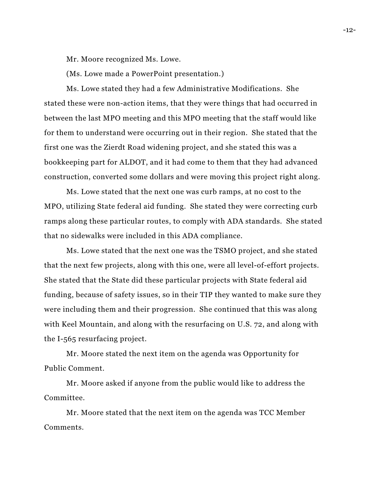Mr. Moore recognized Ms. Lowe.

(Ms. Lowe made a PowerPoint presentation.)

Ms. Lowe stated they had a few Administrative Modifications. She stated these were non-action items, that they were things that had occurred in between the last MPO meeting and this MPO meeting that the staff would like for them to understand were occurring out in their region. She stated that the first one was the Zierdt Road widening project, and she stated this was a bookkeeping part for ALDOT, and it had come to them that they had advanced construction, converted some dollars and were moving this project right along.

Ms. Lowe stated that the next one was curb ramps, at no cost to the MPO, utilizing State federal aid funding. She stated they were correcting curb ramps along these particular routes, to comply with ADA standards. She stated that no sidewalks were included in this ADA compliance.

Ms. Lowe stated that the next one was the TSMO project, and she stated that the next few projects, along with this one, were all level-of-effort projects. She stated that the State did these particular projects with State federal aid funding, because of safety issues, so in their TIP they wanted to make sure they were including them and their progression. She continued that this was along with Keel Mountain, and along with the resurfacing on U.S. 72, and along with the I-565 resurfacing project.

Mr. Moore stated the next item on the agenda was Opportunity for Public Comment.

Mr. Moore asked if anyone from the public would like to address the Committee.

Mr. Moore stated that the next item on the agenda was TCC Member Comments.